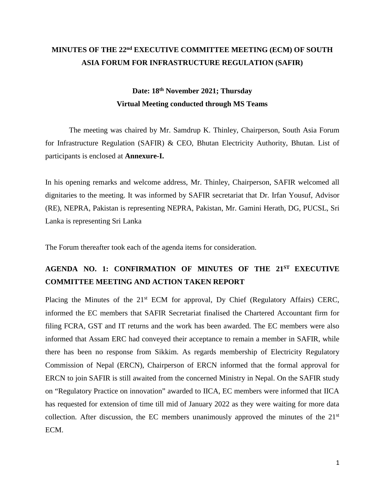### **MINUTES OF THE 22nd EXECUTIVE COMMITTEE MEETING (ECM) OF SOUTH ASIA FORUM FOR INFRASTRUCTURE REGULATION (SAFIR)**

### **Date: 18th November 2021; Thursday Virtual Meeting conducted through MS Teams**

The meeting was chaired by Mr. Samdrup K. Thinley, Chairperson, South Asia Forum for Infrastructure Regulation (SAFIR) & CEO, Bhutan Electricity Authority, Bhutan. List of participants is enclosed at **Annexure-I.**

In his opening remarks and welcome address, Mr. Thinley, Chairperson, SAFIR welcomed all dignitaries to the meeting. It was informed by SAFIR secretariat that Dr. Irfan Yousuf, Advisor (RE), NEPRA, Pakistan is representing NEPRA, Pakistan, Mr. Gamini Herath, DG, PUCSL, Sri Lanka is representing Sri Lanka

The Forum thereafter took each of the agenda items for consideration.

### **AGENDA NO. 1: CONFIRMATION OF MINUTES OF THE 21ST EXECUTIVE COMMITTEE MEETING AND ACTION TAKEN REPORT**

Placing the Minutes of the  $21<sup>st</sup>$  ECM for approval, Dy Chief (Regulatory Affairs) CERC, informed the EC members that SAFIR Secretariat finalised the Chartered Accountant firm for filing FCRA, GST and IT returns and the work has been awarded. The EC members were also informed that Assam ERC had conveyed their acceptance to remain a member in SAFIR, while there has been no response from Sikkim. As regards membership of Electricity Regulatory Commission of Nepal (ERCN), Chairperson of ERCN informed that the formal approval for ERCN to join SAFIR is still awaited from the concerned Ministry in Nepal. On the SAFIR study on "Regulatory Practice on innovation" awarded to IICA, EC members were informed that IICA has requested for extension of time till mid of January 2022 as they were waiting for more data collection. After discussion, the EC members unanimously approved the minutes of the  $21<sup>st</sup>$ ECM.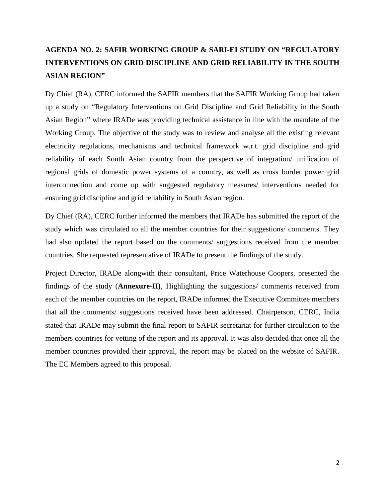### **AGENDA NO. 2: SAFIR WORKING GROUP & SARI-EI STUDY ON "REGULATORY INTERVENTIONS ON GRID DISCIPLINE AND GRID RELIABILITY IN THE SOUTH ASIAN REGION"**

Dy Chief (RA), CERC informed the SAFIR members that the SAFIR Working Group had taken up a study on "Regulatory Interventions on Grid Discipline and Grid Reliability in the South Asian Region" where IRADe was providing technical assistance in line with the mandate of the Working Group. The objective of the study was to review and analyse all the existing relevant electricity regulations, mechanisms and technical framework w.r.t. grid discipline and grid reliability of each South Asian country from the perspective of integration/ unification of regional grids of domestic power systems of a country, as well as cross border power grid interconnection and come up with suggested regulatory measures/ interventions needed for ensuring grid discipline and grid reliability in South Asian region.

Dy Chief (RA), CERC further informed the members that IRADe has submitted the report of the study which was circulated to all the member countries for their suggestions/ comments. They had also updated the report based on the comments/ suggestions received from the member countries. She requested representative of IRADe to present the findings of the study.

Project Director, IRADe alongwith their consultant, Price Waterhouse Coopers, presented the findings of the study (**Annexure-II)**, Highlighting the suggestions/ comments received from each of the member countries on the report, IRADe informed the Executive Committee members that all the comments/ suggestions received have been addressed. Chairperson, CERC, India stated that IRADe may submit the final report to SAFIR secretariat for further circulation to the members countries for vetting of the report and its approval. It was also decided that once all the member countries provided their approval, the report may be placed on the website of SAFIR. The EC Members agreed to this proposal.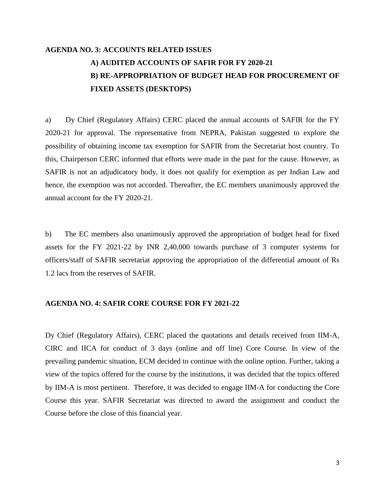### **AGENDA NO. 3: ACCOUNTS RELATED ISSUES A) AUDITED ACCOUNTS OF SAFIR FOR FY 2020-21 B) RE-APPROPRIATION OF BUDGET HEAD FOR PROCUREMENT OF FIXED ASSETS (DESKTOPS)**

a) Dy Chief (Regulatory Affairs) CERC placed the annual accounts of SAFIR for the FY 2020-21 for approval. The representative from NEPRA, Pakistan suggested to explore the possibility of obtaining income tax exemption for SAFIR from the Secretariat host country. To this, Chairperson CERC informed that efforts were made in the past for the cause. However, as SAFIR is not an adjudicatory body, it does not qualify for exemption as per Indian Law and hence, the exemption was not accorded. Thereafter, the EC members unanimously approved the annual account for the FY 2020-21.

b) The EC members also unanimously approved the appropriation of budget head for fixed assets for the FY 2021-22 by INR 2,40,000 towards purchase of 3 computer systems for officers/staff of SAFIR secretariat approving the appropriation of the differential amount of Rs 1.2 lacs from the reserves of SAFIR.

#### **AGENDA NO. 4: SAFIR CORE COURSE FOR FY 2021-22**

Dy Chief (Regulatory Affairs), CERC placed the quotations and details received from IIM-A, CIRC and IICA for conduct of 3 days (online and off line) Core Course. In view of the prevailing pandemic situation, ECM decided to continue with the online option. Further, taking a view of the topics offered for the course by the institutions, it was decided that the topics offered by IIM-A is most pertinent. Therefore, it was decided to engage IIM-A for conducting the Core Course this year. SAFIR Secretariat was directed to award the assignment and conduct the Course before the close of this financial year.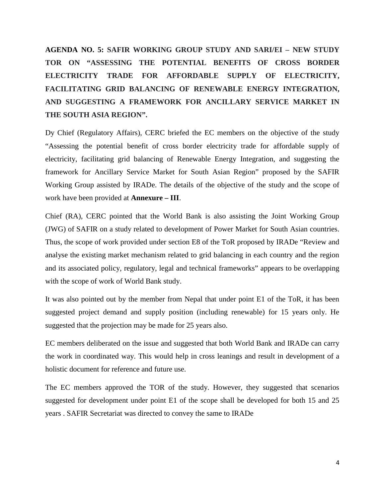**AGENDA NO. 5: SAFIR WORKING GROUP STUDY AND SARI/EI – NEW STUDY TOR ON "ASSESSING THE POTENTIAL BENEFITS OF CROSS BORDER ELECTRICITY TRADE FOR AFFORDABLE SUPPLY OF ELECTRICITY, FACILITATING GRID BALANCING OF RENEWABLE ENERGY INTEGRATION, AND SUGGESTING A FRAMEWORK FOR ANCILLARY SERVICE MARKET IN THE SOUTH ASIA REGION".**

Dy Chief (Regulatory Affairs), CERC briefed the EC members on the objective of the study "Assessing the potential benefit of cross border electricity trade for affordable supply of electricity, facilitating grid balancing of Renewable Energy Integration, and suggesting the framework for Ancillary Service Market for South Asian Region" proposed by the SAFIR Working Group assisted by IRADe. The details of the objective of the study and the scope of work have been provided at **Annexure – III**.

Chief (RA), CERC pointed that the World Bank is also assisting the Joint Working Group (JWG) of SAFIR on a study related to development of Power Market for South Asian countries. Thus, the scope of work provided under section E8 of the ToR proposed by IRADe "Review and analyse the existing market mechanism related to grid balancing in each country and the region and its associated policy, regulatory, legal and technical frameworks" appears to be overlapping with the scope of work of World Bank study.

It was also pointed out by the member from Nepal that under point E1 of the ToR, it has been suggested project demand and supply position (including renewable) for 15 years only. He suggested that the projection may be made for 25 years also.

EC members deliberated on the issue and suggested that both World Bank and IRADe can carry the work in coordinated way. This would help in cross leanings and result in development of a holistic document for reference and future use.

The EC members approved the TOR of the study. However, they suggested that scenarios suggested for development under point E1 of the scope shall be developed for both 15 and 25 years . SAFIR Secretariat was directed to convey the same to IRADe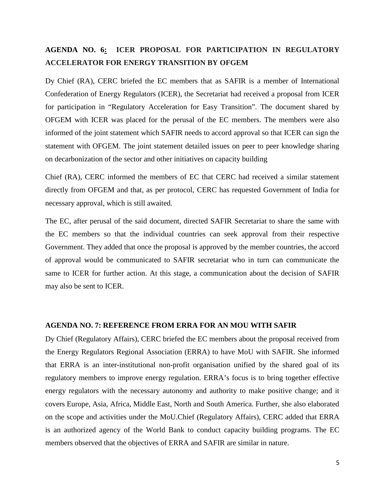### **AGENDA NO. 6: ICER PROPOSAL FOR PARTICIPATION IN REGULATORY ACCELERATOR FOR ENERGY TRANSITION BY OFGEM**

Dy Chief (RA), CERC briefed the EC members that as SAFIR is a member of International Confederation of Energy Regulators (ICER), the Secretariat had received a proposal from ICER for participation in "Regulatory Acceleration for Easy Transition". The document shared by OFGEM with ICER was placed for the perusal of the EC members. The members were also informed of the joint statement which SAFIR needs to accord approval so that ICER can sign the statement with OFGEM. The joint statement detailed issues on peer to peer knowledge sharing on decarbonization of the sector and other initiatives on capacity building

Chief (RA), CERC informed the members of EC that CERC had received a similar statement directly from OFGEM and that, as per protocol, CERC has requested Government of India for necessary approval, which is still awaited.

The EC, after perusal of the said document, directed SAFIR Secretariat to share the same with the EC members so that the individual countries can seek approval from their respective Government. They added that once the proposal is approved by the member countries, the accord of approval would be communicated to SAFIR secretariat who in turn can communicate the same to ICER for further action. At this stage, a communication about the decision of SAFIR may also be sent to ICER.

#### **AGENDA NO. 7: REFERENCE FROM ERRA FOR AN MOU WITH SAFIR**

Dy Chief (Regulatory Affairs), CERC briefed the EC members about the proposal received from the Energy Regulators Regional Association (ERRA) to have MoU with SAFIR. She informed that ERRA is an inter-institutional non-profit organisation unified by the shared goal of its regulatory members to improve energy regulation. ERRA's focus is to bring together effective energy regulators with the necessary autonomy and authority to make positive change; and it covers Europe, Asia, Africa, Middle East, North and South America. Further, she also elaborated on the scope and activities under the MoU.Chief (Regulatory Affairs), CERC added that ERRA is an authorized agency of the World Bank to conduct capacity building programs. The EC members observed that the objectives of ERRA and SAFIR are similar in nature.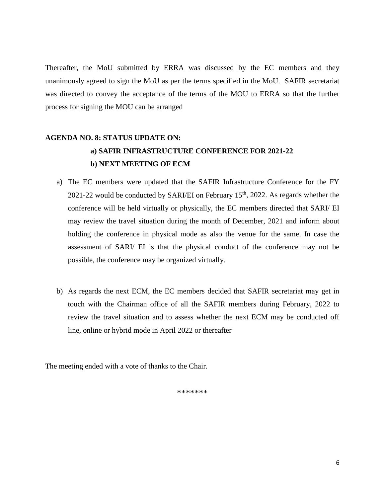Thereafter, the MoU submitted by ERRA was discussed by the EC members and they unanimously agreed to sign the MoU as per the terms specified in the MoU. SAFIR secretariat was directed to convey the acceptance of the terms of the MOU to ERRA so that the further process for signing the MOU can be arranged

### **AGENDA NO. 8: STATUS UPDATE ON: a) SAFIR INFRASTRUCTURE CONFERENCE FOR 2021-22 b) NEXT MEETING OF ECM**

- a) The EC members were updated that the SAFIR Infrastructure Conference for the FY 2021-22 would be conducted by SARI/EI on February  $15<sup>th</sup>$ , 2022. As regards whether the conference will be held virtually or physically, the EC members directed that SARI/ EI may review the travel situation during the month of December, 2021 and inform about holding the conference in physical mode as also the venue for the same. In case the assessment of SARI/ EI is that the physical conduct of the conference may not be possible, the conference may be organized virtually.
- b) As regards the next ECM, the EC members decided that SAFIR secretariat may get in touch with the Chairman office of all the SAFIR members during February, 2022 to review the travel situation and to assess whether the next ECM may be conducted off line, online or hybrid mode in April 2022 or thereafter

The meeting ended with a vote of thanks to the Chair.

\*\*\*\*\*\*\*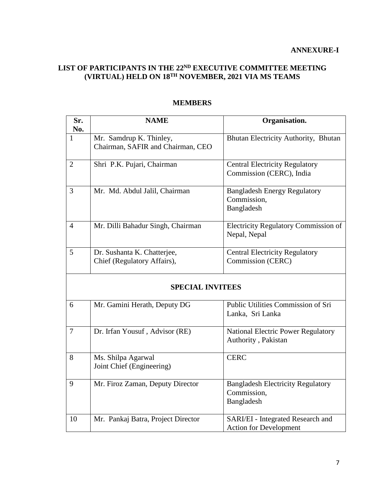#### **LIST OF PARTICIPANTS IN THE 22ND EXECUTIVE COMMITTEE MEETING (VIRTUAL) HELD ON 18TH NOVEMBER, 2021 VIA MS TEAMS**

| Sr.<br>No.              | <b>NAME</b>                                                  | Organisation.                                                         |
|-------------------------|--------------------------------------------------------------|-----------------------------------------------------------------------|
| 1                       | Mr. Samdrup K. Thinley,<br>Chairman, SAFIR and Chairman, CEO | Bhutan Electricity Authority, Bhutan                                  |
| 2                       | Shri P.K. Pujari, Chairman                                   | <b>Central Electricity Regulatory</b><br>Commission (CERC), India     |
| 3                       | Mr. Md. Abdul Jalil, Chairman                                | <b>Bangladesh Energy Regulatory</b><br>Commission,<br>Bangladesh      |
| $\overline{4}$          | Mr. Dilli Bahadur Singh, Chairman                            | <b>Electricity Regulatory Commission of</b><br>Nepal, Nepal           |
| 5                       | Dr. Sushanta K. Chatterjee,<br>Chief (Regulatory Affairs),   | <b>Central Electricity Regulatory</b><br>Commission (CERC)            |
| <b>SPECIAL INVITEES</b> |                                                              |                                                                       |
| 6                       | Mr. Gamini Herath, Deputy DG                                 | Public Utilities Commission of Sri<br>Lanka, Sri Lanka                |
| $\tau$                  | Dr. Irfan Yousuf, Advisor (RE)                               | National Electric Power Regulatory<br>Authority, Pakistan             |
| 8                       | Ms. Shilpa Agarwal<br>Joint Chief (Engineering)              | <b>CERC</b>                                                           |
| 9                       | Mr. Firoz Zaman, Deputy Director                             | <b>Bangladesh Electricity Regulatory</b><br>Commission,<br>Bangladesh |
| 10                      | Mr. Pankaj Batra, Project Director                           | SARI/EI - Integrated Research and<br><b>Action for Development</b>    |

#### **MEMBERS**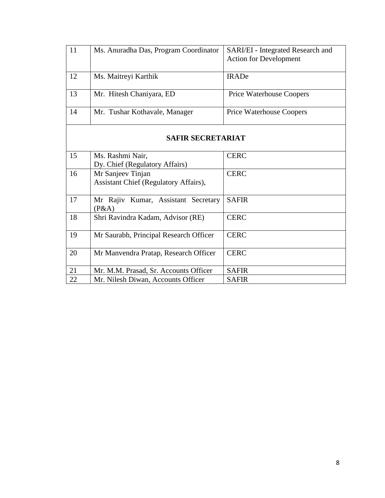| 11 | Ms. Anuradha Das, Program Coordinator                      | SARI/EI - Integrated Research and<br><b>Action for Development</b> |
|----|------------------------------------------------------------|--------------------------------------------------------------------|
| 12 | Ms. Maitreyi Karthik                                       | <b>IRADe</b>                                                       |
| 13 | Mr. Hitesh Chaniyara, ED                                   | <b>Price Waterhouse Coopers</b>                                    |
| 14 | Mr. Tushar Kothavale, Manager                              | <b>Price Waterhouse Coopers</b>                                    |
|    | <b>SAFIR SECRETARIAT</b>                                   |                                                                    |
| 15 | Ms. Rashmi Nair,<br>Dy. Chief (Regulatory Affairs)         | <b>CERC</b>                                                        |
| 16 | Mr Sanjeev Tinjan<br>Assistant Chief (Regulatory Affairs), | <b>CERC</b>                                                        |
| 17 | Mr Rajiv Kumar, Assistant Secretary<br>(P&A)               | <b>SAFIR</b>                                                       |
| 18 | Shri Ravindra Kadam, Advisor (RE)                          | <b>CERC</b>                                                        |
| 19 | Mr Saurabh, Principal Research Officer                     | <b>CERC</b>                                                        |
| 20 | Mr Manvendra Pratap, Research Officer                      | <b>CERC</b>                                                        |
| 21 | Mr. M.M. Prasad, Sr. Accounts Officer                      | <b>SAFIR</b>                                                       |
| 22 | Mr. Nilesh Diwan, Accounts Officer                         | <b>SAFIR</b>                                                       |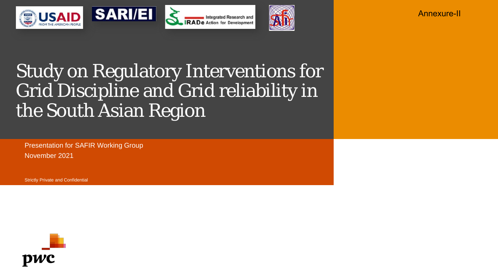







Annexure-II

## Study on Regulatory Interventions for Grid Discipline and Grid reliability in the South Asian Region

Presentation for SAFIR Working Group November 2021

Strictly Private and Confidential

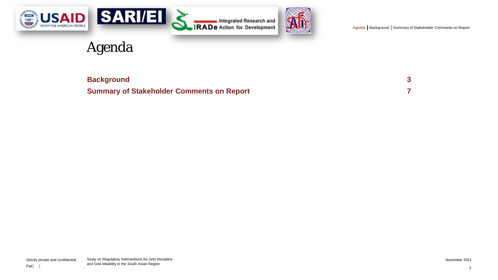<span id="page-9-0"></span>





### Agenda

| <b>Background</b>                                |  |
|--------------------------------------------------|--|
| <b>Summary of Stakeholder Comments on Report</b> |  |

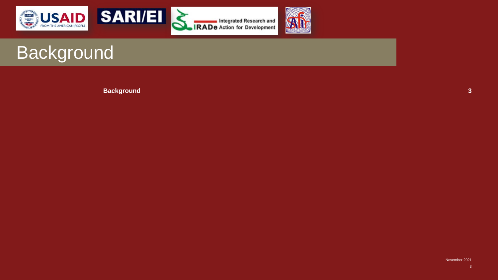<span id="page-10-0"></span>



Integrated Research and<br>IRADe Action for Development



## Background

**[Background](#page-10-0) 3**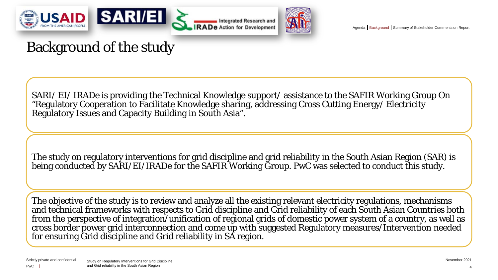



Integrated Research and **RADe Action for Development** 



[Agenda](#page-9-0) | [Background](#page-10-0) | [Summary of Stakeholder Comments on Report](#page-14-0)

## Background of the study

SARI/ EI/ IRADe is providing the Technical Knowledge support/ assistance to the SAFIR Working Group On "Regulatory Cooperation to Facilitate Knowledge sharing, addressing Cross Cutting Energy/ Electricity Regulatory Issues and Capacity Building in South Asia".

The study on regulatory interventions for grid discipline and grid reliability in the South Asian Region (SAR) is being conducted by SARI/EI/IRADe for the SAFIR Working Group. PwC was selected to conduct this study.

The objective of the study is to review and analyze all the existing relevant electricity regulations, mechanisms and technical frameworks with respects to Grid discipline and Grid reliability of each South Asian Countries both from the perspective of integration/unification of regional grids of domestic power system of a country, as well as cross border power grid interconnection and come up with suggested Regulatory measures/Intervention needed for ensuring Grid discipline and Grid reliability in SA region.

4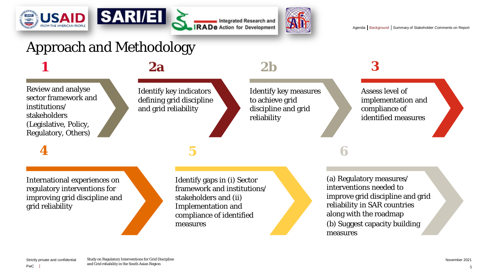



Integrated Research and **IRADe** Action for Development



[Agenda](#page-9-0) | [Background](#page-10-0) | [Summary of Stakeholder Comments on Report](#page-14-0)

## Approach and Methodology

### *1 2a 2b 3*

Review and analyse sector framework and institutions/ stakeholders (Legislative, Policy, Regulatory, Others)

*4 5*

Identify key indicators defining grid discipline and grid reliability

International experiences on regulatory interventions for improving grid discipline and grid reliability

Identify gaps in (i) Sector framework and institutions/ stakeholders and (ii) Implementation and compliance of identified measures

Identify key measures to achieve grid discipline and grid

reliability

Assess level of implementation and compliance of identified measures

### *6*

(a) Regulatory measures/ interventions needed to improve grid discipline and grid reliability in SAR countries along with the roadmap (b) Suggest capacity building measures

PwC

5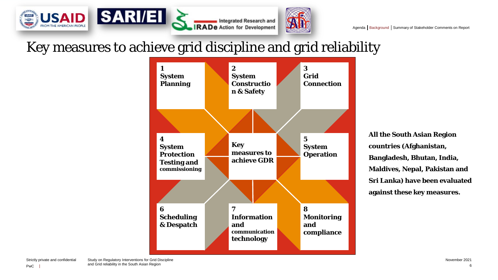

### Key measures to achieve grid discipline and grid reliability



**All the South Asian Region countries (Afghanistan, Bangladesh, Bhutan, India, Maldives, Nepal, Pakistan and Sri Lanka) have been evaluated against these key measures.**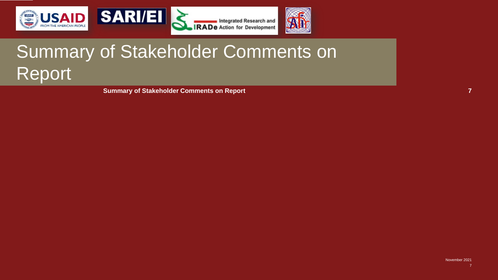<span id="page-14-0"></span>





# Summary of Stakeholder Comments on Report

**[Summary of Stakeholder Comments on Report](#page-14-0) 7**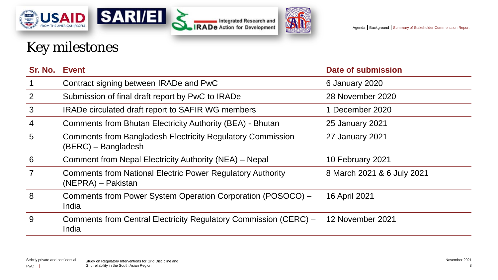





## Key milestones

| Sr. No. Event  |                                                                                          | Date of submission         |
|----------------|------------------------------------------------------------------------------------------|----------------------------|
| $\overline{1}$ | Contract signing between IRADe and PwC                                                   | 6 January 2020             |
| $\overline{2}$ | Submission of final draft report by PwC to IRADe                                         | 28 November 2020           |
| 3              | <b>IRADe circulated draft report to SAFIR WG members</b>                                 | 1 December 2020            |
| $\overline{4}$ | Comments from Bhutan Electricity Authority (BEA) - Bhutan                                | <b>25 January 2021</b>     |
| 5              | <b>Comments from Bangladesh Electricity Regulatory Commission</b><br>(BERC) – Bangladesh | 27 January 2021            |
| 6              | Comment from Nepal Electricity Authority (NEA) – Nepal                                   | 10 February 2021           |
| $\overline{7}$ | <b>Comments from National Electric Power Regulatory Authority</b><br>(NEPRA) – Pakistan  | 8 March 2021 & 6 July 2021 |
| 8              | Comments from Power System Operation Corporation (POSOCO) –<br>India                     | 16 April 2021              |
| 9              | Comments from Central Electricity Regulatory Commission (CERC) -<br>India                | 12 November 2021           |
|                |                                                                                          |                            |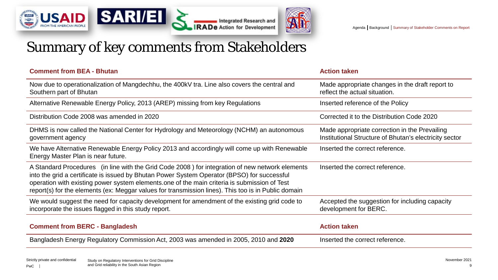





### Summary of key comments from Stakeholders

| <b>Comment from BEA - Bhutan</b>                                                                                                                                                                                                                                                                                                                                                                      | <b>Action taken</b>                                                                                     |
|-------------------------------------------------------------------------------------------------------------------------------------------------------------------------------------------------------------------------------------------------------------------------------------------------------------------------------------------------------------------------------------------------------|---------------------------------------------------------------------------------------------------------|
| Now due to operationalization of Mangdechhu, the 400kV tra. Line also covers the central and<br>Southern part of Bhutan                                                                                                                                                                                                                                                                               | Made appropriate changes in the draft report to<br>reflect the actual situation.                        |
| Alternative Renewable Energy Policy, 2013 (AREP) missing from key Regulations                                                                                                                                                                                                                                                                                                                         | Inserted reference of the Policy                                                                        |
| Distribution Code 2008 was amended in 2020                                                                                                                                                                                                                                                                                                                                                            | Corrected it to the Distribution Code 2020                                                              |
| DHMS is now called the National Center for Hydrology and Meteorology (NCHM) an autonomous<br>government agency                                                                                                                                                                                                                                                                                        | Made appropriate correction in the Prevailing<br>Institutional Structure of Bhutan's electricity sector |
| We have Alternative Renewable Energy Policy 2013 and accordingly will come up with Renewable<br>Energy Master Plan is near future.                                                                                                                                                                                                                                                                    | Inserted the correct reference.                                                                         |
| A Standard Procedures (in line with the Grid Code 2008) for integration of new network elements<br>into the grid a certificate is issued by Bhutan Power System Operator (BPSO) for successful<br>operation with existing power system elements one of the main criteria is submission of Test<br>report(s) for the elements (ex: Meggar values for transmission lines). This too is in Public domain | Inserted the correct reference.                                                                         |
| We would suggest the need for capacity development for amendment of the existing grid code to<br>incorporate the issues flagged in this study report.                                                                                                                                                                                                                                                 | Accepted the suggestion for including capacity<br>development for BERC.                                 |
| <b>Comment from BERC - Bangladesh</b>                                                                                                                                                                                                                                                                                                                                                                 | <b>Action taken</b>                                                                                     |
| Bangladesh Energy Regulatory Commission Act, 2003 was amended in 2005, 2010 and 2020                                                                                                                                                                                                                                                                                                                  | Inserted the correct reference.                                                                         |

9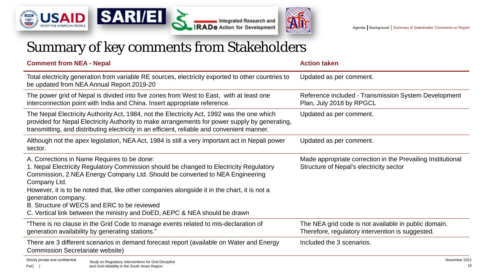





| <b>Comment from NEA - Nepal</b>                                                                                                                                                                                                                                                                                                                                                                                                                                                           | <b>Action taken</b>                                                                                      |
|-------------------------------------------------------------------------------------------------------------------------------------------------------------------------------------------------------------------------------------------------------------------------------------------------------------------------------------------------------------------------------------------------------------------------------------------------------------------------------------------|----------------------------------------------------------------------------------------------------------|
| Total electricity generation from variable RE sources, electricity exported to other countries to<br>be updated from NEA Annual Report 2019-20                                                                                                                                                                                                                                                                                                                                            | Updated as per comment.                                                                                  |
| The power grid of Nepal is divided into five zones from West to East, with at least one<br>interconnection point with India and China. Insert appropriate reference.                                                                                                                                                                                                                                                                                                                      | Reference included - Transmission System Development<br>Plan, July 2018 by RPGCL                         |
| The Nepal Electricity Authority Act, 1984, not the Electricity Act, 1992 was the one which<br>provided for Nepal Electricity Authority to make arrangements for power supply by generating,<br>transmitting, and distributing electricity in an efficient, reliable and convenient manner.                                                                                                                                                                                                | Updated as per comment.                                                                                  |
| Although not the apex legislation, NEA Act, 1984 is still a very important act in Nepali power<br>sector.                                                                                                                                                                                                                                                                                                                                                                                 | Updated as per comment.                                                                                  |
| A. Corrections in Name Requires to be done:<br>1. Nepal Electricity Regulatory Commission should be changed to Electricity Regulatory<br>Commission, 2.NEA Energy Company Ltd. Should be converted to NEA Engineering<br>Company Ltd.<br>However, it is to be noted that, like other companies alongside it in the chart, it is not a<br>generation company.<br>B. Structure of WECS and ERC to be reviewed<br>C. Vertical link between the ministry and DoED, AEPC & NEA should be drawn | Made appropriate correction in the Prevailing Institutional<br>Structure of Nepal's electricity sector   |
| "There is no clause in the Grid Code to manage events related to mis-declaration of<br>generation availability by generating stations."                                                                                                                                                                                                                                                                                                                                                   | The NEA grid code is not available in public domain.<br>Therefore, regulatory intervention is suggested. |
| There are 3 different scenarios in demand forecast report (available on Water and Energy<br><b>Commission Secretariate website)</b>                                                                                                                                                                                                                                                                                                                                                       | Included the 3 scenarios.                                                                                |
| Strictly private and confidential<br>Study on Regulatory Interventions for Grid Discipline                                                                                                                                                                                                                                                                                                                                                                                                | November 2021                                                                                            |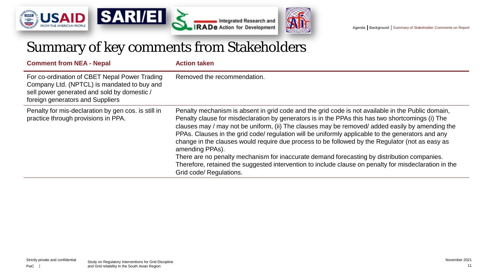





| <b>Comment from NEA - Nepal</b>                                                                                                                                                 | <b>Action taken</b>                                                                                                                                                                                                                                                                                                                                                                                                                                                                                                                                                                                                                                                                                                                                                    |
|---------------------------------------------------------------------------------------------------------------------------------------------------------------------------------|------------------------------------------------------------------------------------------------------------------------------------------------------------------------------------------------------------------------------------------------------------------------------------------------------------------------------------------------------------------------------------------------------------------------------------------------------------------------------------------------------------------------------------------------------------------------------------------------------------------------------------------------------------------------------------------------------------------------------------------------------------------------|
| For co-ordination of CBET Nepal Power Trading<br>Company Ltd. (NPTCL) is mandated to buy and<br>sell power generated and sold by domestic /<br>foreign generators and Suppliers | Removed the recommendation.                                                                                                                                                                                                                                                                                                                                                                                                                                                                                                                                                                                                                                                                                                                                            |
| Penalty for mis-declaration by gen cos. is still in<br>practice through provisions in PPA.                                                                                      | Penalty mechanism is absent in grid code and the grid code is not available in the Public domain,<br>Penalty clause for misdeclaration by generators is in the PPAs this has two shortcomings (i) The<br>clauses may / may not be uniform, (ii) The clauses may be removed/ added easily by amending the<br>PPAs. Clauses in the grid code/ regulation will be uniformly applicable to the generators and any<br>change in the clauses would require due process to be followed by the Regulator (not as easy as<br>amending PPAs).<br>There are no penalty mechanism for inaccurate demand forecasting by distribution companies.<br>Therefore, retained the suggested intervention to include clause on penalty for misdeclaration in the<br>Grid code/ Regulations. |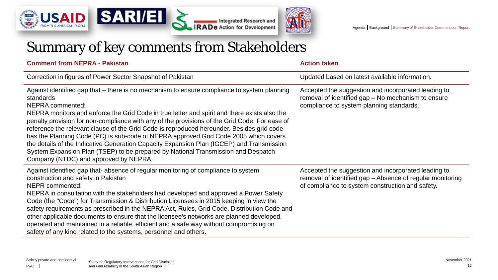





| <b>Comment from NEPRA - Pakistan</b>                                                                                                                                                                                                                                                                                                                                                                                                                                                                                                                                                                                                                                                                                                                 | <b>Action taken</b>                                                                                                                                                  |
|------------------------------------------------------------------------------------------------------------------------------------------------------------------------------------------------------------------------------------------------------------------------------------------------------------------------------------------------------------------------------------------------------------------------------------------------------------------------------------------------------------------------------------------------------------------------------------------------------------------------------------------------------------------------------------------------------------------------------------------------------|----------------------------------------------------------------------------------------------------------------------------------------------------------------------|
| Correction in figures of Power Sector Snapshot of Pakistan                                                                                                                                                                                                                                                                                                                                                                                                                                                                                                                                                                                                                                                                                           | Updated based on latest available information.                                                                                                                       |
| Against identified gap that – there is no mechanism to ensure compliance to system planning<br>standards<br><b>NEPRA commented:</b><br>NEPRA monitors and enforce the Grid Code in true letter and spirit and there exists also the<br>penalty provision for non-compliance with any of the provisions of the Grid Code. For ease of<br>reference the relevant clause of the Grid Code is reproduced hereunder. Besides grid code<br>has the Planning Code (PC) is sub-code of NEPRA approved Grid Code 2005 which covers<br>the details of the Indicative Generation Capacity Expansion Plan (IGCEP) and Transmission<br>System Expansion Plan (TSEP) to be prepared by National Transmission and Despatch<br>Company (NTDC) and approved by NEPRA. | Accepted the suggestion and incorporated leading to<br>removal of identified gap – No mechanism to ensure<br>compliance to system planning standards.                |
| Against identified gap that-absence of regular monitoring of compliance to system<br>construction and safety in Pakistan<br><b>NEPR</b> commented:<br>NEPRA in consultation with the stakeholders had developed and approved a Power Safety<br>Code (the "Code") for Transmission & Distribution Licensees in 2015 keeping in view the<br>safety requirements as prescribed in the NEPRA Act, Rules, Grid Code, Distribution Code and<br>other applicable documents to ensure that the licensee's networks are planned developed,<br>operated and maintained in a reliable, efficient and a safe way without compromising on<br>safety of any kind related to the systems, personnel and others.                                                     | Accepted the suggestion and incorporated leading to<br>removal of identified gap - Absence of regular monitoring<br>of compliance to system construction and safety. |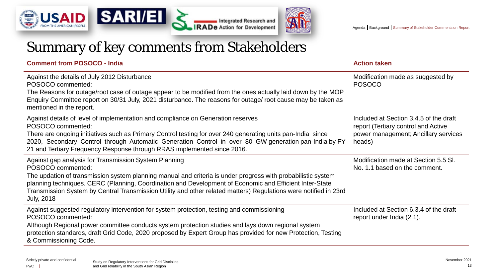





**Comment from POSOCO - India Action taken** 

| Against the details of July 2012 Disturbance<br>POSOCO commented:<br>The Reasons for outage/root case of outage appear to be modified from the ones actually laid down by the MOP<br>Enquiry Committee report on 30/31 July, 2021 disturbance. The reasons for outage/ root cause may be taken as<br>mentioned in the report.                                                                                                                  | Modification made as suggested by<br><b>POSOCO</b>                                                                              |
|------------------------------------------------------------------------------------------------------------------------------------------------------------------------------------------------------------------------------------------------------------------------------------------------------------------------------------------------------------------------------------------------------------------------------------------------|---------------------------------------------------------------------------------------------------------------------------------|
| Against details of level of implementation and compliance on Generation reserves<br>POSOCO commented:<br>There are ongoing initiatives such as Primary Control testing for over 240 generating units pan-India since<br>2020, Secondary Control through Automatic Generation Control in over 80 GW generation pan-India by FY<br>21 and Tertiary Frequency Response through RRAS implemented since 2016.                                       | Included at Section 3.4.5 of the draft<br>report (Tertiary control and Active<br>power management; Ancillary services<br>heads) |
| Against gap analysis for Transmission System Planning<br>POSOCO commented:<br>The updation of transmission system planning manual and criteria is under progress with probabilistic system<br>planning techniques. CERC (Planning, Coordination and Development of Economic and Efficient Inter-State<br>Transmission System by Central Transmission Utility and other related matters) Regulations were notified in 23rd<br><b>July, 2018</b> | Modification made at Section 5.5 SI.<br>No. 1.1 based on the comment.                                                           |
| Against suggested regulatory intervention for system protection, testing and commissioning<br>POSOCO commented:<br>Although Regional power committee conducts system protection studies and lays down regional system<br>protection standards, draft Grid Code, 2020 proposed by Expert Group has provided for new Protection, Testing<br>& Commissioning Code.                                                                                | Included at Section 6.3.4 of the draft<br>report under India (2.1).                                                             |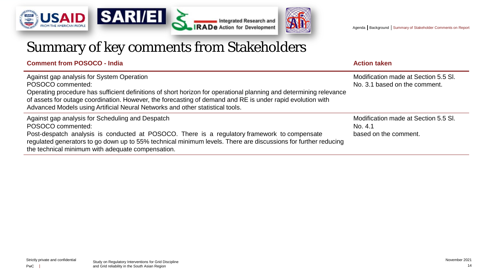





**Comment from POSOCO - India Action taken** 

| Against gap analysis for System Operation<br>POSOCO commented:<br>Operating procedure has sufficient definitions of short horizon for operational planning and determining relevance<br>of assets for outage coordination. However, the forecasting of demand and RE is under rapid evolution with<br>Advanced Models using Artificial Neural Networks and other statistical tools. | Modification made at Section 5.5 SI.<br>No. 3.1 based on the comment.    |
|-------------------------------------------------------------------------------------------------------------------------------------------------------------------------------------------------------------------------------------------------------------------------------------------------------------------------------------------------------------------------------------|--------------------------------------------------------------------------|
| Against gap analysis for Scheduling and Despatch<br>POSOCO commented:<br>Post-despatch analysis is conducted at POSOCO. There is a regulatory framework to compensate<br>regulated generators to go down up to 55% technical minimum levels. There are discussions for further reducing<br>the technical minimum with adequate compensation.                                        | Modification made at Section 5.5 SI.<br>No. 4.1<br>based on the comment. |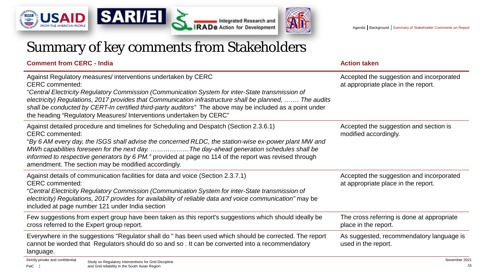





### **Comment from CERC - India Action taken**

| Against Regulatory measures/interventions undertaken by CERC<br><b>CERC</b> commented:<br>"Central Electricity Regulatory Commission (Communication System for inter-State transmission of<br>electricity) Regulations, 2017 provides that Communication infrastructure shall be planned,  The audits<br>shall be conducted by CERT-In certified third-party auditors" The above may be included as a point under<br>the heading "Regulatory Measures/ Interventions undertaken by CERC" | Accepted the suggestion and incorporated<br>at appropriate place in the report. |
|------------------------------------------------------------------------------------------------------------------------------------------------------------------------------------------------------------------------------------------------------------------------------------------------------------------------------------------------------------------------------------------------------------------------------------------------------------------------------------------|---------------------------------------------------------------------------------|
| Against detailed procedure and timelines for Scheduling and Despatch (Section 2.3.6.1)<br><b>CERC</b> commented:<br>By 6 AM every day, the ISGS shall advise the concerned RLDC, the station-wise ex-power plant MW and "<br>MWh capabilities foreseen for the next day. The day-ahead generation schedules shall be<br>informed to respective generators by 6 PM." provided at page no 114 of the report was revised through<br>amendment. The section may be modified accordingly.     | Accepted the suggestion and section is<br>modified accordingly.                 |
| Against details of communication facilities for data and voice (Section 2.3.7.1)<br><b>CERC</b> commented:<br>"Central Electricity Regulatory Commission (Communication System for inter-State transmission of<br>electricity) Regulations, 2017 provides for availability of reliable data and voice communication" may be<br>included at page number 121 under India section                                                                                                           | Accepted the suggestion and incorporated<br>at appropriate place in the report. |
| Few suggestions from expert group have been taken as this report's suggestions which should ideally be<br>cross referred to the Expert group report.                                                                                                                                                                                                                                                                                                                                     | The cross referring is done at appropriate<br>place in the report.              |
| Everywhere in the suggestions "Regulator shall do " has been used which should be corrected. The report<br>cannot be worded that Regulators should do so and so. It can be converted into a recommendatory<br>language.                                                                                                                                                                                                                                                                  | As suggested, recommendatory language is<br>used in the report.                 |
| Strictly private and confidential<br>Study on Regulatory Interventions for Grid Discipline                                                                                                                                                                                                                                                                                                                                                                                               | November 2021                                                                   |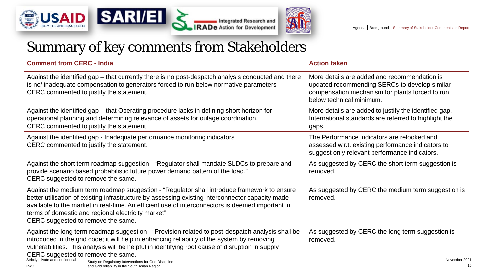





| <b>Comment from CERC - India</b>                                                                                                                                                                                                                                                                                                                                                                 | <b>Action taken</b>                                                                                                                                                          |
|--------------------------------------------------------------------------------------------------------------------------------------------------------------------------------------------------------------------------------------------------------------------------------------------------------------------------------------------------------------------------------------------------|------------------------------------------------------------------------------------------------------------------------------------------------------------------------------|
| Against the identified gap - that currently there is no post-despatch analysis conducted and there<br>is no/ inadequate compensation to generators forced to run below normative parameters<br>CERC commented to justify the statement.                                                                                                                                                          | More details are added and recommendation is<br>updated recommending SERCs to develop similar<br>compensation mechanism for plants forced to run<br>below technical minimum. |
| Against the identified gap – that Operating procedure lacks in defining short horizon for<br>operational planning and determining relevance of assets for outage coordination.<br>CERC commented to justify the statement                                                                                                                                                                        | More details are added to justify the identified gap.<br>International standards are referred to highlight the<br>gaps.                                                      |
| Against the identified gap - Inadequate performance monitoring indicators<br>CERC commented to justify the statement.                                                                                                                                                                                                                                                                            | The Performance indicators are relooked and<br>assessed w.r.t. existing performance indicators to<br>suggest only relevant performance indicators.                           |
| Against the short term roadmap suggestion - "Regulator shall mandate SLDCs to prepare and<br>provide scenario based probabilistic future power demand pattern of the load."<br>CERC suggested to remove the same.                                                                                                                                                                                | As suggested by CERC the short term suggestion is<br>removed.                                                                                                                |
| Against the medium term roadmap suggestion - "Regulator shall introduce framework to ensure<br>better utilisation of existing infrastructure by assessing existing interconnector capacity made<br>available to the market in real-time. An efficient use of interconnectors is deemed important in<br>terms of domestic and regional electricity market".<br>CERC suggested to remove the same. | As suggested by CERC the medium term suggestion is<br>removed.                                                                                                               |
| Against the long term roadmap suggestion - "Provision related to post-despatch analysis shall be<br>introduced in the grid code; it will help in enhancing reliability of the system by removing<br>vulnerabilities. This analysis will be helpful in identifying root cause of disruption in supply<br>CERC suggested to remove the same.<br>Strictly private and confidential                  | As suggested by CERC the long term suggestion is<br>removed.                                                                                                                 |
| Study on Regulatory Interventions for Grid Discipline<br>and Grid reliability in the South Asian Region<br>PwC                                                                                                                                                                                                                                                                                   | <del>November 202</del> 1<br>16                                                                                                                                              |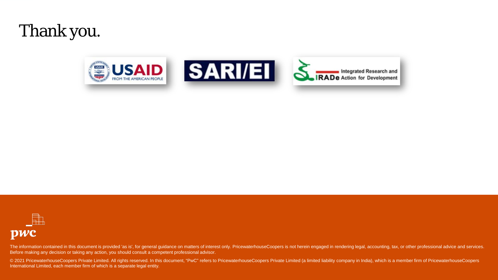## Thank you.





The information contained in this document is provided 'as is', for general guidance on matters of interest only. PricewaterhouseCoopers is not herein engaged in rendering legal, accounting, tax, or other professional advi Before making any decision or taking any action, you should consult a competent professional advisor.

© 2021 PricewaterhouseCoopers Private Limited. All rights reserved. In this document, "PwC" refers to PricewaterhouseCoopers Private Limited (a limited liability company in India), which is a member firm of Pricewaterhouse International Limited, each member firm of which is a separate legal entity.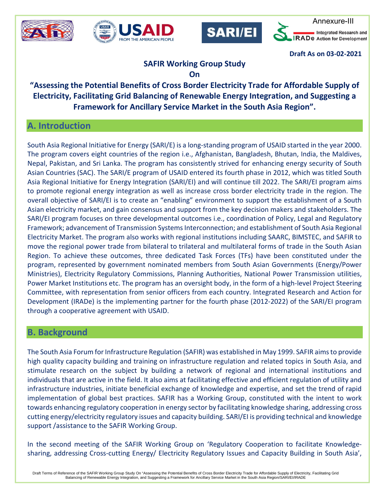







**Draft As on 03-02-2021** 

### **SAFIR Working Group Study**

#### **On**

**"Assessing the Potential Benefits of Cross Border Electricity Trade for Affordable Supply of Electricity, Facilitating Grid Balancing of Renewable Energy Integration, and Suggesting a Framework for Ancillary Service Market in the South Asia Region".**

### **A. Introduction**

South Asia Regional Initiative for Energy (SARI/E) is a long-standing program of USAID started in the year 2000. The program covers eight countries of the region i.e., Afghanistan, Bangladesh, Bhutan, India, the Maldives, Nepal, Pakistan, and Sri Lanka. The program has consistently strived for enhancing energy security of South Asian Countries (SAC). The SARI/E program of USAID entered its fourth phase in 2012, which was titled South Asia Regional Initiative for Energy Integration (SARI/EI) and will continue till 2022. The SARI/EI program aims to promote regional energy integration as well as increase cross border electricity trade in the region. The overall objective of SARI/EI is to create an "enabling" environment to support the establishment of a South Asian electricity market, and gain consensus and support from the key decision makers and stakeholders. The SARI/EI program focuses on three developmental outcomes i.e., coordination of Policy, Legal and Regulatory Framework; advancement of Transmission Systems Interconnection; and establishment of South Asia Regional Electricity Market. The program also works with regional institutions including SAARC, BIMSTEC, and SAFIR to move the regional power trade from bilateral to trilateral and multilateral forms of trade in the South Asian Region. To achieve these outcomes, three dedicated Task Forces (TFs) have been constituted under the program, represented by government nominated members from South Asian Governments (Energy/Power Ministries), Electricity Regulatory Commissions, Planning Authorities, National Power Transmission utilities, Power Market Institutions etc. The program has an oversight body, in the form of a high-level Project Steering Committee, with representation from senior officers from each country. Integrated Research and Action for Development (IRADe) is the implementing partner for the fourth phase (2012-2022) of the SARI/EI program through a cooperative agreement with USAID.

#### **B. Background**

The South Asia Forum for Infrastructure Regulation (SAFIR) was established in May 1999. SAFIR aims to provide high quality capacity building and training on infrastructure regulation and related topics in South Asia, and stimulate research on the subject by building a network of regional and international institutions and individuals that are active in the field. It also aims at facilitating effective and efficient regulation of utility and infrastructure industries, initiate beneficial exchange of knowledge and expertise, and set the trend of rapid implementation of global best practices. SAFIR has a Working Group, constituted with the intent to work towards enhancing regulatory cooperation in energy sector by facilitating knowledge sharing, addressing cross cutting energy/electricity regulatory issues and capacity building. SARI/EI is providing technical and knowledge support /assistance to the SAFIR Working Group.

In the second meeting of the SAFIR Working Group on 'Regulatory Cooperation to facilitate Knowledgesharing, addressing Cross-cutting Energy/ Electricity Regulatory Issues and Capacity Building in South Asia',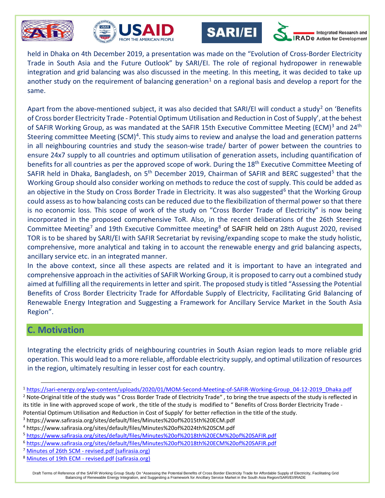







**Integrated Research and** De Action for Development

held in Dhaka on 4th December 2019, a presentation was made on the "Evolution of Cross-Border Electricity Trade in South Asia and the Future Outlook" by SARI/EI. The role of regional hydropower in renewable integration and grid balancing was also discussed in the meeting. In this meeting, it was decided to take up another study on the requirement of balancing generation<sup>[1](#page-26-0)</sup> on a regional basis and develop a report for the same.

Apart from the above-mentioned subject, it was also decided that SARI/EI will conduct a study<sup>[2](#page-26-1)</sup> on 'Benefits' of Cross border Electricity Trade - Potential Optimum Utilisation and Reduction in Cost of Supply', at the behest of SAFIR Working Group, as was mandated at the SAFIR 15th Executive Committee Meeting (ECM)<sup>[3](#page-26-2)</sup> and 24<sup>th</sup> Steering committee Meeting (SCM)<sup>4</sup>. This study aims to review and analyse the load and generation patterns in all neighbouring countries and study the season-wise trade/ barter of power between the countries to ensure 24x7 supply to all countries and optimum utilisation of generation assets, including quantification of benefits for all countries as per the approved scope of work. During the 18<sup>th</sup> Executive Committee Meeting of SAFIR held in Dhaka, Bangladesh, on [5](#page-26-4)<sup>th</sup> December 2019, Chairman of SAFIR and BERC suggested<sup>5</sup> that the Working Group should also consider working on methods to reduce the cost of supply. This could be added as an objective in the Study on Cross Border Trade in Electricity. It was also suggested<sup>[6](#page-26-5)</sup> that the Working Group could assess as to how balancing costs can be reduced due to the flexibilization of thermal power so that there is no economic loss. This scope of work of the study on "Cross Border Trade of Electricity" is now being incorporated in the proposed comprehensive ToR. Also, in the recent deliberations of the 26th Steering Committee Meeting<sup>[7](#page-26-6)</sup> and 19th Executive Committee meeting<sup>[8](#page-26-7)</sup> of SAFIR held on 28th August 2020, revised TOR is to be shared by SARI/EI with SAFIR Secretariat by revising/expanding scope to make the study holistic, comprehensive, more analytical and taking in to account the renewable energy and grid balancing aspects, ancillary service etc. in an integrated manner.

In the above context, since all these aspects are related and it is important to have an integrated and comprehensive approach in the activities of SAFIR Working Group, it is proposed to carry out a combined study aimed at fulfilling all the requirements in letter and spirit. The proposed study is titled "Assessing the Potential Benefits of Cross Border Electricity Trade for Affordable Supply of Electricity, Facilitating Grid Balancing of Renewable Energy Integration and Suggesting a Framework for Ancillary Service Market in the South Asia Region".

#### **C. Motivation**

 $\overline{a}$ 

Integrating the electricity grids of neighbouring countries in South Asian region leads to more reliable grid operation. This would lead to a more reliable, affordable electricity supply, and optimal utilization of resources in the region, ultimately resulting in lesser cost for each country.

<span id="page-26-1"></span><sup>2</sup> Note-Original title of the study was " Cross Border Trade of Electricity Trade", to bring the true aspects of the study is reflected in its title in line with approved scope of work , the title of the study is modified to " Benefits of Cross Border Electricity Trade - Potential Optimum Utilisation and Reduction in Cost of Supply' for better reflection in the title of the study.<br><sup>3</sup> https://www.safirasia.org/sites/default/files/Minutes%20of%2015th%20ECM.pdf

<span id="page-26-0"></span><sup>1</sup> [https://sari-energy.org/wp-content/uploads/2020/01/MOM-Second-Meeting-of-SAFIR-Working-Group\\_04-12-2019\\_Dhaka.pdf](https://sari-energy.org/wp-content/uploads/2020/01/MOM-Second-Meeting-of-SAFIR-Working-Group_04-12-2019_Dhaka.pdf)

<span id="page-26-2"></span>

<span id="page-26-3"></span><sup>4</sup> https://www.safirasia.org/sites/default/files/Minutes%20of%2024th%20SCM.pdf

<span id="page-26-4"></span><sup>5</sup> <https://www.safirasia.org/sites/default/files/Minutes%20of%2018th%20ECM%20of%20SAFIR.pdf>

<span id="page-26-5"></span><sup>6</sup> <https://www.safirasia.org/sites/default/files/Minutes%20of%2018th%20ECM%20of%20SAFIR.pdf>

<span id="page-26-6"></span><sup>&</sup>lt;sup>7</sup> Minutes of 26th SCM - [revised.pdf \(safirasia.org\)](https://www.safirasia.org/sites/default/files/Minutes%20of%2026th%20SCM%20-%20revised.pdf)

<span id="page-26-7"></span><sup>&</sup>lt;sup>8</sup> Minutes of 19th ECM - [revised.pdf \(safirasia.org\)](https://www.safirasia.org/sites/default/files/Minutes%20of%2019th%20ECM%20-%20revised.pdf)

Draft Terms of Reference of the SAFIR Working Group Study On "Assessing the Potential Benefits of Cross Border Electricity Trade for Affordable Supply of Electricity, Facilitating Grid Balancing of Renewable Energy Integration, and Suggesting a Framework for Ancillary Service Market in the South Asia Region/SARI/EI/IRADE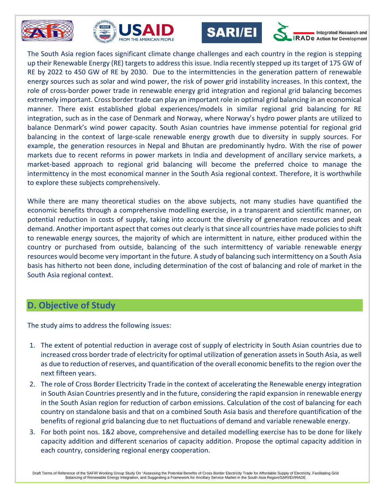







**Integrated Research and RADe** Action for Development

The South Asia region faces significant climate change challenges and each country in the region is stepping up their Renewable Energy (RE) targets to address this issue. India recently stepped up its target of 175 GW of RE by 2022 to 450 GW of RE by 2030. Due to the intermittencies in the generation pattern of renewable energy sources such as solar and wind power, the risk of power grid instability increases. In this context, the role of cross-border power trade in renewable energy grid integration and regional grid balancing becomes extremely important. Cross border trade can play an important role in optimal grid balancing in an economical manner. There exist established global experiences/models in similar regional grid balancing for RE integration, such as in the case of Denmark and Norway, where Norway's hydro power plants are utilized to balance Denmark's wind power capacity. South Asian countries have immense potential for regional grid balancing in the context of large-scale renewable energy growth due to diversity in supply sources. For example, the generation resources in Nepal and Bhutan are predominantly hydro. With the rise of power markets due to recent reforms in power markets in India and development of ancillary service markets, a market-based approach to regional grid balancing will become the preferred choice to manage the intermittency in the most economical manner in the South Asia regional context. Therefore, it is worthwhile to explore these subjects comprehensively.

While there are many theoretical studies on the above subjects, not many studies have quantified the economic benefits through a comprehensive modelling exercise, in a transparent and scientific manner, on potential reduction in costs of supply, taking into account the diversity of generation resources and peak demand. Another important aspect that comes out clearly is that since all countries have made policies to shift to renewable energy sources, the majority of which are intermittent in nature, either produced within the country or purchased from outside, balancing of the such intermittency of variable renewable energy resources would become very important in the future. A study of balancing such intermittency on a South Asia basis has hitherto not been done, including determination of the cost of balancing and role of market in the South Asia regional context.

### **D. Objective of Study**

The study aims to address the following issues:

- 1. The extent of potential reduction in average cost of supply of electricity in South Asian countries due to increased cross border trade of electricity for optimal utilization of generation assets in South Asia, as well as due to reduction of reserves, and quantification of the overall economic benefits to the region over the next fifteen years.
- 2. The role of Cross Border Electricity Trade in the context of accelerating the Renewable energy integration in South Asian Countries presently and in the future, considering the rapid expansion in renewable energy in the South Asian region for reduction of carbon emissions. Calculation of the cost of balancing for each country on standalone basis and that on a combined South Asia basis and therefore quantification of the benefits of regional grid balancing due to net fluctuations of demand and variable renewable energy.
- 3. For both point nos. 1&2 above, comprehensive and detailed modelling exercise has to be done for likely capacity addition and different scenarios of capacity addition. Propose the optimal capacity addition in each country, considering regional energy cooperation.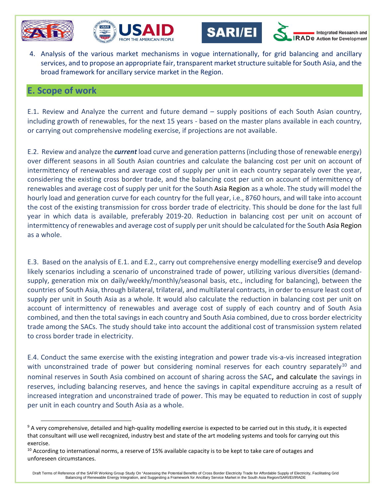

 $\ddot{\phantom{a}}$ 







Integrated Research and De Action for Development

4. Analysis of the various market mechanisms in vogue internationally, for grid balancing and ancillary services, and to propose an appropriate fair, transparent market structure suitable for South Asia, and the broad framework for ancillary service market in the Region.

#### **E. Scope of work**

E.1. Review and Analyze the current and future demand – supply positions of each South Asian country, including growth of renewables, for the next 15 years - based on the master plans available in each country, or carrying out comprehensive modeling exercise, if projections are not available.

E.2. Review and analyze the *current* load curve and generation patterns(including those of renewable energy) over different seasons in all South Asian countries and calculate the balancing cost per unit on account of intermittency of renewables and average cost of supply per unit in each country separately over the year, considering the existing cross border trade, and the balancing cost per unit on account of intermittency of renewables and average cost of supply per unit for the South Asia Region as a whole. The study will model the hourly load and generation curve for each country for the full year, i.e., 8760 hours, and will take into account the cost of the existing transmission for cross border trade of electricity. This should be done for the last full year in which data is available, preferably 2019-20. Reduction in balancing cost per unit on account of intermittency of renewables and average cost of supply per unit should be calculated for the South Asia Region as a whole.

E.3. Based on the analysis of E.1. and E.2., carry out comprehensive energy modelling exercise[9](#page-28-0) and develop likely scenarios including a scenario of unconstrained trade of power, utilizing various diversities (demandsupply, generation mix on daily/weekly/monthly/seasonal basis, etc., including for balancing), between the countries of South Asia, through bilateral, trilateral, and multilateral contracts, in order to ensure least cost of supply per unit in South Asia as a whole. It would also calculate the reduction in balancing cost per unit on account of intermittency of renewables and average cost of supply of each country and of South Asia combined, and then the total savings in each country and South Asia combined, due to cross border electricity trade among the SACs. The study should take into account the additional cost of transmission system related to cross border trade in electricity.

E.4. Conduct the same exercise with the existing integration and power trade vis-a-vis increased integration with unconstrained trade of power but considering nominal reserves for each country separately<sup>[10](#page-28-1)</sup> and nominal reserves in South Asia combined on account of sharing across the SAC, and calculate the savings in reserves, including balancing reserves, and hence the savings in capital expenditure accruing as a result of increased integration and unconstrained trade of power. This may be equated to reduction in cost of supply per unit in each country and South Asia as a whole.

<span id="page-28-0"></span><sup>&</sup>lt;sup>9</sup> A very comprehensive, detailed and high-quality modelling exercise is expected to be carried out in this study, it is expected that consultant will use well recognized, industry best and state of the art modeling systems and tools for carrying out this exercise.

<span id="page-28-1"></span> $10$  According to international norms, a reserve of 15% available capacity is to be kept to take care of outages and unforeseen circumstances.

Draft Terms of Reference of the SAFIR Working Group Study On "Assessing the Potential Benefits of Cross Border Electricity Trade for Affordable Supply of Electricity, Facilitating Grid Balancing of Renewable Energy Integration, and Suggesting a Framework for Ancillary Service Market in the South Asia Region/SARI/EI/IRADE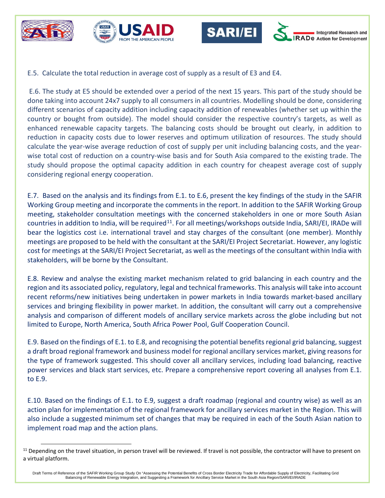

 $\overline{a}$ 







E.5. Calculate the total reduction in average cost of supply as a result of E3 and E4.

E.6. The study at E5 should be extended over a period of the next 15 years. This part of the study should be done taking into account 24x7 supply to all consumers in all countries. Modelling should be done, considering different scenarios of capacity addition including capacity addition of renewables (whether set up within the country or bought from outside). The model should consider the respective country's targets, as well as enhanced renewable capacity targets. The balancing costs should be brought out clearly, in addition to reduction in capacity costs due to lower reserves and optimum utilization of resources. The study should calculate the year-wise average reduction of cost of supply per unit including balancing costs, and the yearwise total cost of reduction on a country-wise basis and for South Asia compared to the existing trade. The study should propose the optimal capacity addition in each country for cheapest average cost of supply considering regional energy cooperation.

E.7. Based on the analysis and its findings from E.1. to E.6, present the key findings of the study in the SAFIR Working Group meeting and incorporate the comments in the report. In addition to the SAFIR Working Group meeting, stakeholder consultation meetings with the concerned stakeholders in one or more South Asian countries in addition to India, will be required<sup>11</sup>. For all meetings/workshops outside India, SARI/EI, IRADe will bear the logistics cost i.e. international travel and stay charges of the consultant (one member). Monthly meetings are proposed to be held with the consultant at the SARI/EI Project Secretariat. However, any logistic cost for meetings at the SARI/EI Project Secretariat, as well as the meetings of the consultant within India with stakeholders, will be borne by the Consultant.

E.8. Review and analyse the existing market mechanism related to grid balancing in each country and the region and its associated policy, regulatory, legal and technical frameworks. This analysis will take into account recent reforms/new initiatives being undertaken in power markets in India towards market-based ancillary services and bringing flexibility in power market. In addition, the consultant will carry out a comprehensive analysis and comparison of different models of ancillary service markets across the globe including but not limited to Europe, North America, South Africa Power Pool, Gulf Cooperation Council.

E.9. Based on the findings of E.1. to E.8, and recognising the potential benefits regional grid balancing, suggest a draft broad regional framework and business model for regional ancillary services market, giving reasons for the type of framework suggested. This should cover all ancillary services, including load balancing, reactive power services and black start services, etc. Prepare a comprehensive report covering all analyses from E.1. to E.9.

E.10. Based on the findings of E.1. to E.9, suggest a draft roadmap (regional and country wise) as well as an action plan for implementation of the regional framework for ancillary services market in the Region. This will also include a suggested minimum set of changes that may be required in each of the South Asian nation to implement road map and the action plans.

<span id="page-29-0"></span> $11$  Depending on the travel situation, in person travel will be reviewed. If travel is not possible, the contractor will have to present on a virtual platform.

Draft Terms of Reference of the SAFIR Working Group Study On "Assessing the Potential Benefits of Cross Border Electricity Trade for Affordable Supply of Electricity, Facilitating Grid Balancing of Renewable Energy Integration, and Suggesting a Framework for Ancillary Service Market in the South Asia Region/SARI/EI/IRADE